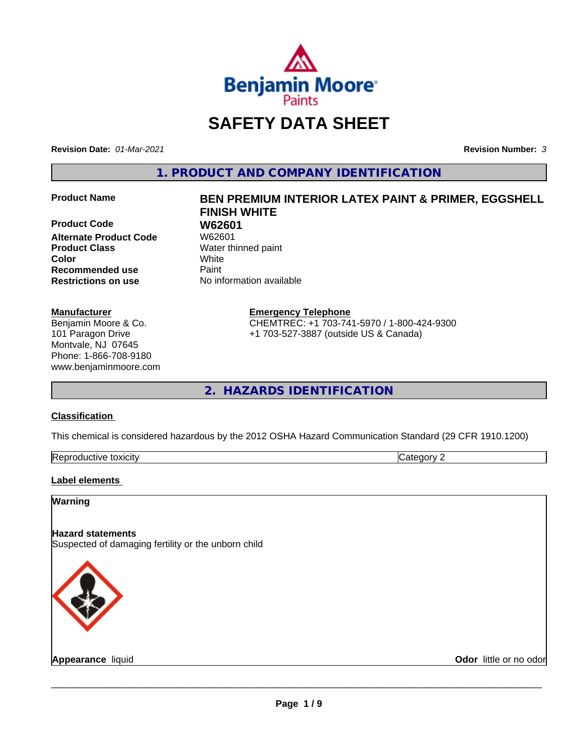

# **SAFETY DATA SHEET**

**Revision Date:** *01-Mar-2021* **Revision Number:** *3*

**1. PRODUCT AND COMPANY IDENTIFICATION**

**Product Code 61 W62601**<br>Alternate Product Code 61 W62601 **Alternate Product Code Product Class** Water thinned paint **Color** White **Recommended use Caint Restrictions on use** No information available

#### **Manufacturer**

Benjamin Moore & Co. 101 Paragon Drive Montvale, NJ 07645 Phone: 1-866-708-9180 www.benjaminmoore.com

# **Product Name BEN PREMIUM INTERIOR LATEX PAINT & PRIMER, EGGSHELL FINISH WHITE**

**Emergency Telephone**

CHEMTREC: +1 703-741-5970 / 1-800-424-9300 +1 703-527-3887 (outside US & Canada)

**2. HAZARDS IDENTIFICATION**

#### **Classification**

This chemical is considered hazardous by the 2012 OSHA Hazard Communication Standard (29 CFR 1910.1200)

| -<br>Repr<br>toxicity | - - -<br>. זרי<br>.<br> |
|-----------------------|-------------------------|

#### **Label elements**

#### **Warning**

#### **Hazard statements**

Suspected of damaging fertility or the unborn child



**Appearance** liquid **Contract Contract Contract Contract Contract Contract Contract Contract Contract Contract Contract Contract Contract Contract Contract Contract Contract Contract Contract Contract Contract Contract Con**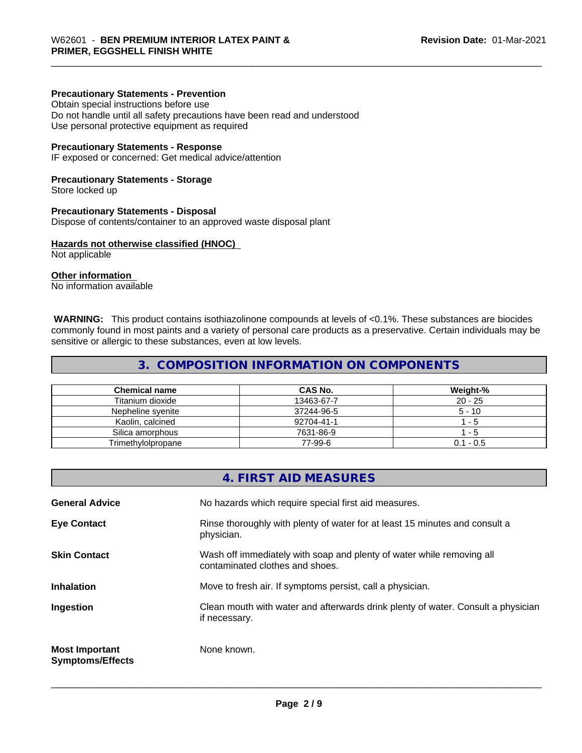#### **Precautionary Statements - Prevention**

Obtain special instructions before use Do not handle until all safety precautions have been read and understood Use personal protective equipment as required

#### **Precautionary Statements - Response**

IF exposed or concerned: Get medical advice/attention

#### **Precautionary Statements - Storage**

Store locked up

#### **Precautionary Statements - Disposal**

Dispose of contents/container to an approved waste disposal plant

#### **Hazards not otherwise classified (HNOC)**

Not applicable

#### **Other information**

No information available

 **WARNING:** This product contains isothiazolinone compounds at levels of <0.1%. These substances are biocides commonly found in most paints and a variety of personal care products as a preservative. Certain individuals may be sensitive or allergic to these substances, even at low levels.

#### **3. COMPOSITION INFORMATION ON COMPONENTS**

| <b>Chemical name</b> | CAS No.    | Weight-%    |
|----------------------|------------|-------------|
| Titanium dioxide     | 13463-67-7 | $20 - 25$   |
| Nepheline svenite    | 37244-96-5 | $5 - 10$    |
| Kaolin, calcined     | 92704-41-1 | - 5         |
| Silica amorphous     | 7631-86-9  | - 5         |
| Trimethylolpropane   | 77-99-6    | $0.1 - 0.5$ |

|                                                  | 4. FIRST AID MEASURES                                                                                    |
|--------------------------------------------------|----------------------------------------------------------------------------------------------------------|
| <b>General Advice</b>                            | No hazards which require special first aid measures.                                                     |
| <b>Eye Contact</b>                               | Rinse thoroughly with plenty of water for at least 15 minutes and consult a<br>physician.                |
| <b>Skin Contact</b>                              | Wash off immediately with soap and plenty of water while removing all<br>contaminated clothes and shoes. |
| <b>Inhalation</b>                                | Move to fresh air. If symptoms persist, call a physician.                                                |
| Ingestion                                        | Clean mouth with water and afterwards drink plenty of water. Consult a physician<br>if necessary.        |
| <b>Most Important</b><br><b>Symptoms/Effects</b> | None known.                                                                                              |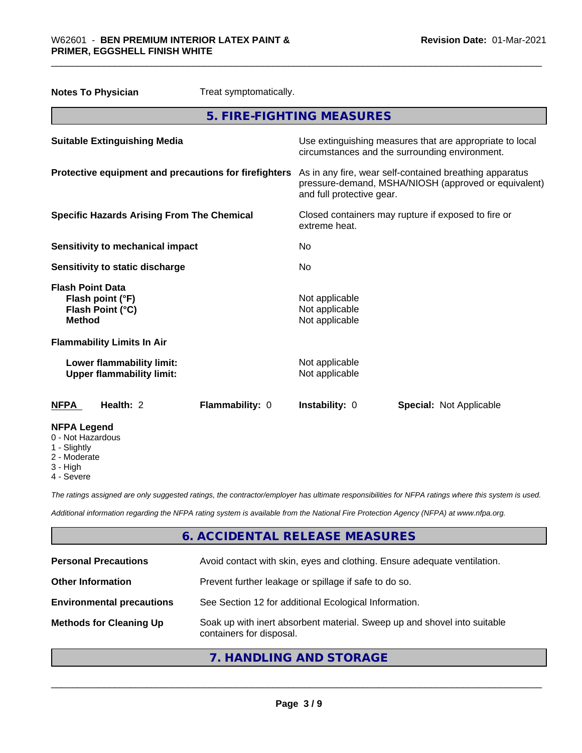| <b>Notes To Physician</b>                                                        | Treat symptomatically.                                                                                                                       |  |
|----------------------------------------------------------------------------------|----------------------------------------------------------------------------------------------------------------------------------------------|--|
|                                                                                  | 5. FIRE-FIGHTING MEASURES                                                                                                                    |  |
| <b>Suitable Extinguishing Media</b>                                              | Use extinguishing measures that are appropriate to local<br>circumstances and the surrounding environment.                                   |  |
| Protective equipment and precautions for firefighters                            | As in any fire, wear self-contained breathing apparatus<br>pressure-demand, MSHA/NIOSH (approved or equivalent)<br>and full protective gear. |  |
| <b>Specific Hazards Arising From The Chemical</b>                                | Closed containers may rupture if exposed to fire or<br>extreme heat.                                                                         |  |
| <b>Sensitivity to mechanical impact</b>                                          | No                                                                                                                                           |  |
| Sensitivity to static discharge                                                  | No                                                                                                                                           |  |
| <b>Flash Point Data</b><br>Flash point (°F)<br>Flash Point (°C)<br><b>Method</b> | Not applicable<br>Not applicable<br>Not applicable                                                                                           |  |
| <b>Flammability Limits In Air</b>                                                |                                                                                                                                              |  |
| Lower flammability limit:<br><b>Upper flammability limit:</b>                    | Not applicable<br>Not applicable                                                                                                             |  |
| Health: 2<br>Flammability: 0<br><b>NFPA</b>                                      | Instability: 0<br><b>Special: Not Applicable</b>                                                                                             |  |
| <b>NFPA Legend</b><br>0 - Not Hazardous<br>1 - Slightly                          |                                                                                                                                              |  |

- 2 Moderate
- 3 High
- 4 Severe

*The ratings assigned are only suggested ratings, the contractor/employer has ultimate responsibilities for NFPA ratings where this system is used.*

*Additional information regarding the NFPA rating system is available from the National Fire Protection Agency (NFPA) at www.nfpa.org.*

### **6. ACCIDENTAL RELEASE MEASURES**

| <b>Personal Precautions</b>      | Avoid contact with skin, eyes and clothing. Ensure adequate ventilation.                             |
|----------------------------------|------------------------------------------------------------------------------------------------------|
| <b>Other Information</b>         | Prevent further leakage or spillage if safe to do so.                                                |
| <b>Environmental precautions</b> | See Section 12 for additional Ecological Information.                                                |
| <b>Methods for Cleaning Up</b>   | Soak up with inert absorbent material. Sweep up and shovel into suitable<br>containers for disposal. |

**7. HANDLING AND STORAGE**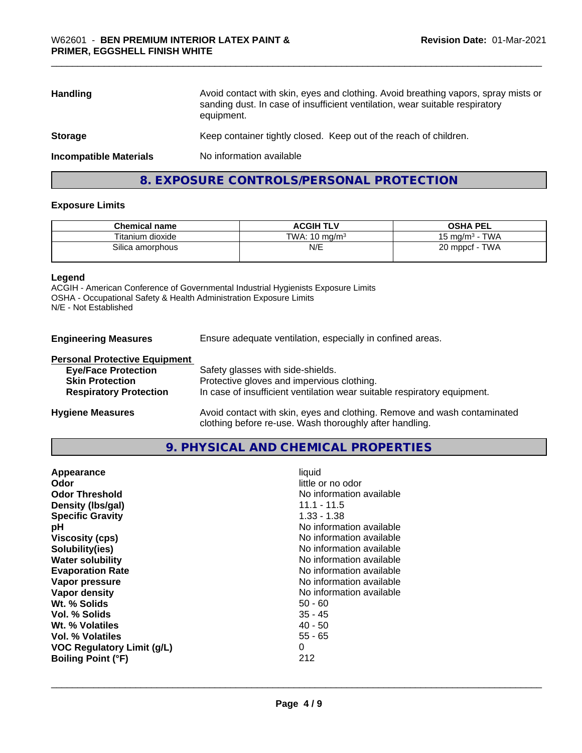| Avoid contact with skin, eyes and clothing. Avoid breathing vapors, spray mists or<br>sanding dust. In case of insufficient ventilation, wear suitable respiratory<br>equipment. |
|----------------------------------------------------------------------------------------------------------------------------------------------------------------------------------|
| Keep container tightly closed. Keep out of the reach of children.                                                                                                                |
| No information available                                                                                                                                                         |
|                                                                                                                                                                                  |

### **8. EXPOSURE CONTROLS/PERSONAL PROTECTION**

#### **Exposure Limits**

| <b>Chemical name</b> | <b>ACGIH TLV</b>         | <b>OSHA PEL</b>           |
|----------------------|--------------------------|---------------------------|
| Titanium dioxide     | TWA: $10 \text{ ma/m}^3$ | <b>TWA</b><br>15 mg/m $3$ |
| Silica amorphous     | N/E                      | <b>TWA</b><br>20 mppcf    |
|                      |                          |                           |

#### **Legend**

ACGIH - American Conference of Governmental Industrial Hygienists Exposure Limits OSHA - Occupational Safety & Health Administration Exposure Limits N/E - Not Established

| <b>Engineering Measures</b> | Ensure adequate ventilation, especially in confined areas. |
|-----------------------------|------------------------------------------------------------|
|-----------------------------|------------------------------------------------------------|

#### **Personal Protective Equipment**

| <b>Eye/Face Protection</b>    | Safety glasses with side-shields.                                        |
|-------------------------------|--------------------------------------------------------------------------|
| <b>Skin Protection</b>        | Protective gloves and impervious clothing.                               |
| <b>Respiratory Protection</b> | In case of insufficient ventilation wear suitable respiratory equipment. |
| <b>Hygiene Measures</b>       | Avoid contact with skin, eyes and clothing. Remove and wash contaminated |

# **9. PHYSICAL AND CHEMICAL PROPERTIES**

clothing before re-use. Wash thoroughly after handling.

| Appearance<br>Odor<br><b>Odor Threshold</b><br>Density (Ibs/gal)<br><b>Specific Gravity</b><br>рH<br><b>Viscosity (cps)</b><br>Solubility(ies)<br><b>Water solubility</b><br><b>Evaporation Rate</b><br>Vapor pressure<br>Vapor density<br>Wt. % Solids<br>Vol. % Solids<br>Wt. % Volatiles<br><b>Vol. % Volatiles</b><br><b>VOC Regulatory Limit (g/L)</b> | liquid<br>little or no odor<br>No information available<br>$11.1 - 11.5$<br>$1.33 - 1.38$<br>No information available<br>No information available<br>No information available<br>No information available<br>No information available<br>No information available<br>No information available<br>$50 - 60$<br>$35 - 45$<br>$40 - 50$<br>$55 - 65$<br>0 |
|-------------------------------------------------------------------------------------------------------------------------------------------------------------------------------------------------------------------------------------------------------------------------------------------------------------------------------------------------------------|--------------------------------------------------------------------------------------------------------------------------------------------------------------------------------------------------------------------------------------------------------------------------------------------------------------------------------------------------------|
| <b>Boiling Point (°F)</b>                                                                                                                                                                                                                                                                                                                                   | 212                                                                                                                                                                                                                                                                                                                                                    |
|                                                                                                                                                                                                                                                                                                                                                             |                                                                                                                                                                                                                                                                                                                                                        |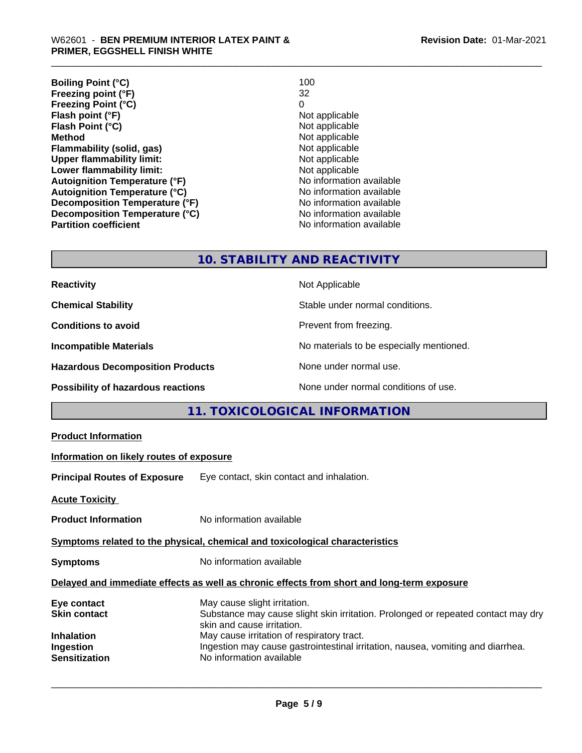| 100                      |
|--------------------------|
| 32                       |
| 0                        |
| Not applicable           |
| Not applicable           |
| Not applicable           |
| Not applicable           |
| Not applicable           |
| Not applicable           |
| No information available |
| No information available |
| No information available |
| No information available |
| No information available |
|                          |

**No information available** 

# **10. STABILITY AND REACTIVITY**

| <b>Reactivity</b>                         | Not Applicable                           |
|-------------------------------------------|------------------------------------------|
| <b>Chemical Stability</b>                 | Stable under normal conditions.          |
| <b>Conditions to avoid</b>                | Prevent from freezing.                   |
| <b>Incompatible Materials</b>             | No materials to be especially mentioned. |
| <b>Hazardous Decomposition Products</b>   | None under normal use.                   |
| <b>Possibility of hazardous reactions</b> | None under normal conditions of use.     |

# **11. TOXICOLOGICAL INFORMATION**

| <b>Product Information</b>                                                                   |                                                                                                                                                                                                                                                                                                              |
|----------------------------------------------------------------------------------------------|--------------------------------------------------------------------------------------------------------------------------------------------------------------------------------------------------------------------------------------------------------------------------------------------------------------|
| Information on likely routes of exposure                                                     |                                                                                                                                                                                                                                                                                                              |
| <b>Principal Routes of Exposure</b>                                                          | Eye contact, skin contact and inhalation.                                                                                                                                                                                                                                                                    |
| <b>Acute Toxicity</b>                                                                        |                                                                                                                                                                                                                                                                                                              |
| <b>Product Information</b>                                                                   | No information available                                                                                                                                                                                                                                                                                     |
|                                                                                              | Symptoms related to the physical, chemical and toxicological characteristics                                                                                                                                                                                                                                 |
| <b>Symptoms</b>                                                                              | No information available                                                                                                                                                                                                                                                                                     |
|                                                                                              | Delayed and immediate effects as well as chronic effects from short and long-term exposure                                                                                                                                                                                                                   |
| Eye contact<br><b>Skin contact</b><br><b>Inhalation</b><br>Ingestion<br><b>Sensitization</b> | May cause slight irritation.<br>Substance may cause slight skin irritation. Prolonged or repeated contact may dry<br>skin and cause irritation.<br>May cause irritation of respiratory tract.<br>Ingestion may cause gastrointestinal irritation, nausea, vomiting and diarrhea.<br>No information available |
|                                                                                              |                                                                                                                                                                                                                                                                                                              |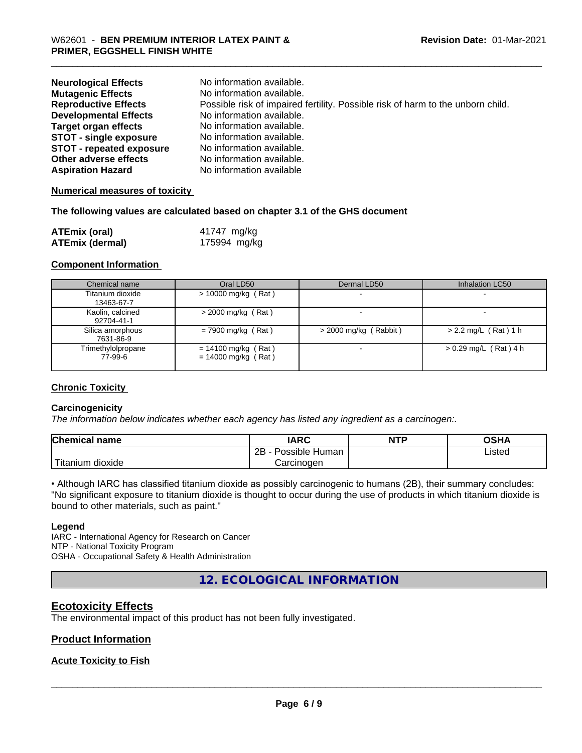| <b>Neurological Effects</b>     | No information available.                                                       |
|---------------------------------|---------------------------------------------------------------------------------|
| <b>Mutagenic Effects</b>        | No information available.                                                       |
| <b>Reproductive Effects</b>     | Possible risk of impaired fertility. Possible risk of harm to the unborn child. |
| <b>Developmental Effects</b>    | No information available.                                                       |
| <b>Target organ effects</b>     | No information available.                                                       |
| <b>STOT - single exposure</b>   | No information available.                                                       |
| <b>STOT - repeated exposure</b> | No information available.                                                       |
| Other adverse effects           | No information available.                                                       |
| <b>Aspiration Hazard</b>        | No information available                                                        |

#### **Numerical measures of toxicity**

#### **The following values are calculated based on chapter 3.1 of the GHS document**

| <b>ATEmix (oral)</b>   | 41747 mg/kg  |
|------------------------|--------------|
| <b>ATEmix (dermal)</b> | 175994 mg/kg |

#### **Component Information**

| Chemical name                  | Oral LD50                                      | Dermal LD50             | Inhalation LC50         |
|--------------------------------|------------------------------------------------|-------------------------|-------------------------|
| Titanium dioxide<br>13463-67-7 | $> 10000$ mg/kg (Rat)                          |                         |                         |
| Kaolin, calcined<br>92704-41-1 | $>$ 2000 mg/kg (Rat)                           |                         |                         |
| Silica amorphous<br>7631-86-9  | $= 7900$ mg/kg (Rat)                           | $>$ 2000 mg/kg (Rabbit) | $> 2.2$ mg/L (Rat) 1 h  |
| Trimethylolpropane<br>77-99-6  | $= 14100$ mg/kg (Rat)<br>$= 14000$ mg/kg (Rat) |                         | $> 0.29$ mg/L (Rat) 4 h |

#### **Chronic Toxicity**

#### **Carcinogenicity**

*The information below indicateswhether each agency has listed any ingredient as a carcinogen:.*

| <b>Chemical</b><br>name                                                                                                                         | <b>IARC</b>                    | <b>NTP</b> | ດຂ⊔∧<br>∪אח    |
|-------------------------------------------------------------------------------------------------------------------------------------------------|--------------------------------|------------|----------------|
|                                                                                                                                                 | .<br>2B<br>Possible<br>· Human |            | Listed<br>____ |
| <b>The Contract of the Contract of the Contract of the Contract of the Contract of the Contract of the Contract o</b><br>n dioxide<br>l itanıum | Carcinogen                     |            |                |

• Although IARC has classified titanium dioxide as possibly carcinogenic to humans (2B), their summary concludes: "No significant exposure to titanium dioxide is thought to occur during the use of products in which titanium dioxide is bound to other materials, such as paint."

#### **Legend**

IARC - International Agency for Research on Cancer NTP - National Toxicity Program OSHA - Occupational Safety & Health Administration

**12. ECOLOGICAL INFORMATION**

#### **Ecotoxicity Effects**

The environmental impact of this product has not been fully investigated.

#### **Product Information**

#### **Acute Toxicity to Fish**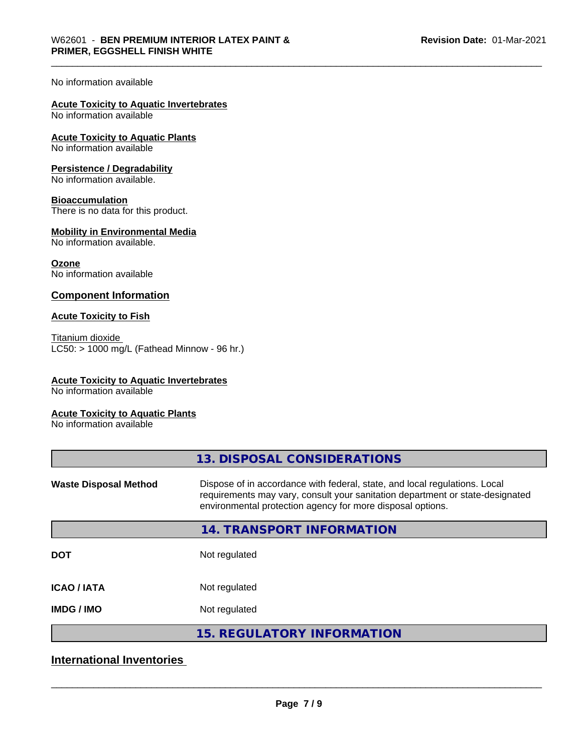#### No information available

# **Acute Toxicity to Aquatic Invertebrates**

No information available

## **Acute Toxicity to Aquatic Plants**

No information available

#### **Persistence / Degradability**

No information available.

#### **Bioaccumulation**

There is no data for this product.

#### **Mobility in Environmental Media**

No information available.

#### **Ozone**

No information available

#### **Component Information**

#### **Acute Toxicity to Fish**

Titanium dioxide  $LC50:$  > 1000 mg/L (Fathead Minnow - 96 hr.)

#### **Acute Toxicity to Aquatic Invertebrates**

No information available

#### **Acute Toxicity to Aquatic Plants**

No information available

# **International Inventories**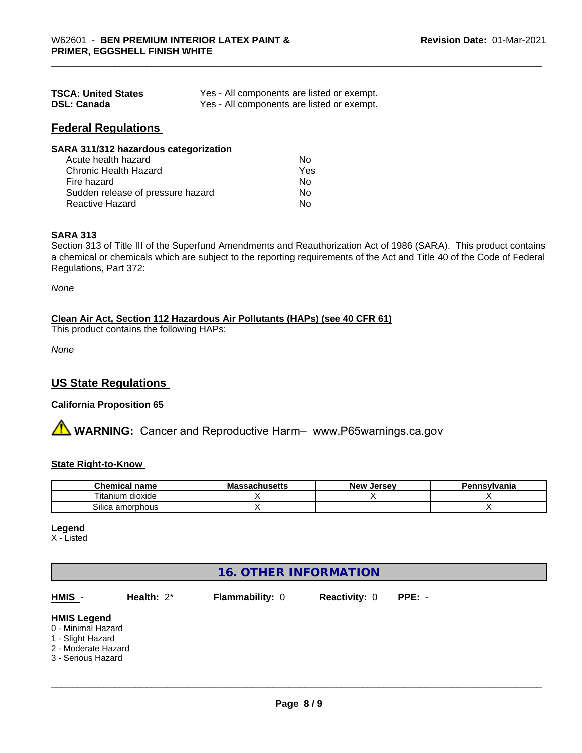| <b>TSCA: United States</b> | Yes - All components are listed or exempt. |
|----------------------------|--------------------------------------------|
| <b>DSL: Canada</b>         | Yes - All components are listed or exempt. |

### **Federal Regulations**

| SARA 311/312 hazardous categorization |     |  |
|---------------------------------------|-----|--|
| Acute health hazard                   | Nο  |  |
| Chronic Health Hazard                 | Yes |  |

| .   |  |
|-----|--|
| N٥  |  |
| No. |  |
| N٥  |  |
|     |  |

#### **SARA 313**

Section 313 of Title III of the Superfund Amendments and Reauthorization Act of 1986 (SARA). This product contains a chemical or chemicals which are subject to the reporting requirements of the Act and Title 40 of the Code of Federal Regulations, Part 372:

*None*

#### **Clean Air Act,Section 112 Hazardous Air Pollutants (HAPs) (see 40 CFR 61)**

This product contains the following HAPs:

*None*

### **US State Regulations**

#### **California Proposition 65**

**AVIMARNING:** Cancer and Reproductive Harm– www.P65warnings.ca.gov

#### **State Right-to-Know**

| hemical name<br>- - - -         | $\cdots$<br>MЭ<br>-999011496119 | ∴Jerse<br><b>Nev</b> | Pennsvlvania |
|---------------------------------|---------------------------------|----------------------|--------------|
| ÷.<br><br>dioxide<br>l itanium. |                                 |                      |              |
| Silica<br>amorphous             |                                 |                      |              |

#### **Legend**

X - Listed

| <b>16. OTHER INFORMATION</b>                                                                               |               |                 |                      |          |  |
|------------------------------------------------------------------------------------------------------------|---------------|-----------------|----------------------|----------|--|
| $HMIS -$                                                                                                   | Health: $2^*$ | Flammability: 0 | <b>Reactivity: 0</b> | $PPE: -$ |  |
| <b>HMIS Legend</b><br>0 - Minimal Hazard<br>1 - Slight Hazard<br>2 - Moderate Hazard<br>3 - Serious Hazard |               |                 |                      |          |  |